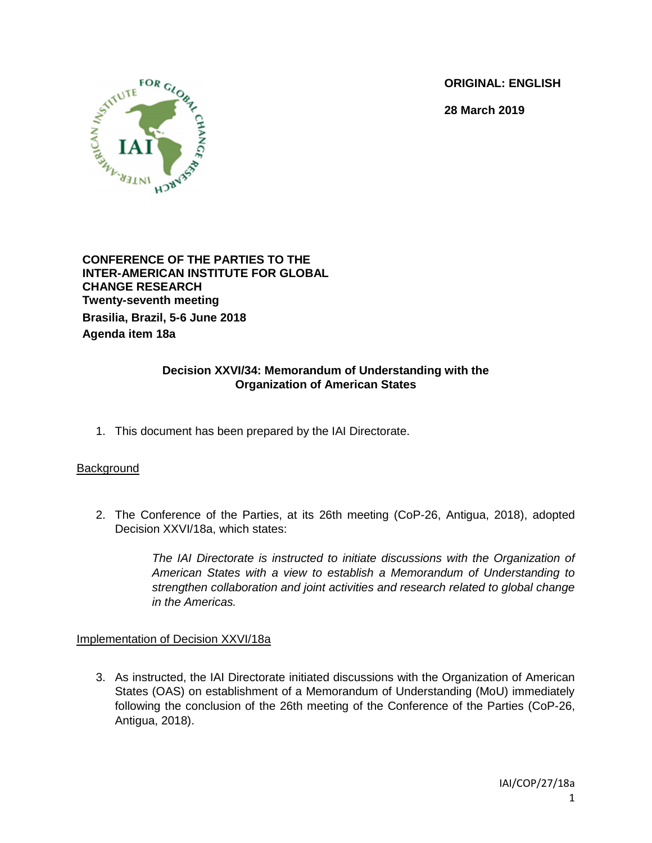**ORIGINAL: ENGLISH**

**28 March 2019**



**CONFERENCE OF THE PARTIES TO THE INTER-AMERICAN INSTITUTE FOR GLOBAL CHANGE RESEARCH Twenty-seventh meeting Brasilia, Brazil, 5-6 June 2018 Agenda item 18a**

## **Decision XXVI/34: Memorandum of Understanding with the Organization of American States**

1. This document has been prepared by the IAI Directorate.

## **Background**

2. The Conference of the Parties, at its 26th meeting (CoP-26, Antigua, 2018), adopted Decision XXVI/18a, which states:

> *The IAI Directorate is instructed to initiate discussions with the Organization of American States with a view to establish a Memorandum of Understanding to strengthen collaboration and joint activities and research related to global change in the Americas.*

## Implementation of Decision XXVI/18a

3. As instructed, the IAI Directorate initiated discussions with the Organization of American States (OAS) on establishment of a Memorandum of Understanding (MoU) immediately following the conclusion of the 26th meeting of the Conference of the Parties (CoP-26, Antigua, 2018).